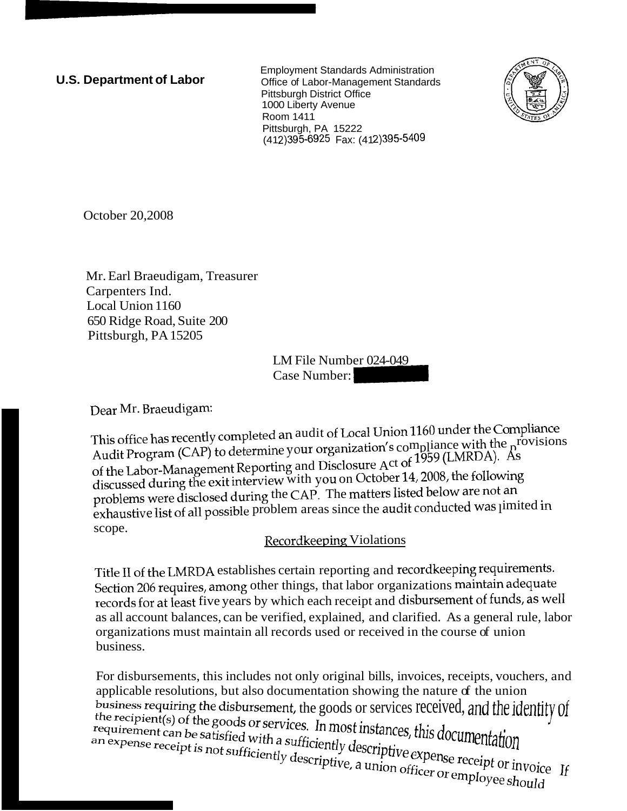**U.S. Department of Labor** Employment Standards Administration Office of Labor-Management Standards Pittsburgh District Office 1000 Liberty Avenue **Room 1411** Pittsburgh, PA 15222 (412) 395-6925 Fax: (412) 395-5409



October 20,2008

Mr. Earl Braeudigam, Treasurer Carpenters Ind. Local Union 1160 650 Ridge Road, Suite 200 Pittsburgh, PA 15205

LM File Number 024-049 Case Number: -

Dear Mr. Braeudigam:

This office has recently completed an audit of Local Union 1160 under the Compliance This office has recently completed all addit of Bocal States. The provision provisions  $\Lambda_{\text{tot}}$   $\Lambda_{\text{tot}}$   $\Lambda_{\text{tot}}$   $\Lambda_{\text{tot}}$   $\Lambda_{\text{tot}}$ of the Labor-Management Reporting and Disclosure Act of 1959 (LMRDA). As discussed during the exit interview with you on October 14, 2008, the following problems were disclosed during the CAP. The matters listed below are not an problems were disclosed during. The state of and the audit conducted was jimited in scope.

## Recordkeeping Violations

Title 11 of the LMRDA establishes certain reporting and recordkeeping requirements. Section 206 requires, among other things, that labor organizations maintain adequate records for at least five years by which each receipt and disbursement of funds, as well as all account balances, can be verified, explained, and clarified. As a general rule, labor organizations must maintain all records used or received in the course of union business.

For disbursements, this includes not only original bills, invoices, receipts, vouchers, and applicable resolutions, but also documentation showing the nature of the union business requiring the disbursement, the goods or services received, and the identity of business requiring the cubbraccious, the constrained in most instances, this documentation the requirement can be satisfied with a sufficiently descriptive expense receipt or invoice an expense receipt is not sufficiently the recipient (s) or the good of the sufficiently descriptive expense receipt or invoice if an expense receipt or expense receipt or expense showed by the material of  $\frac{1}{2}$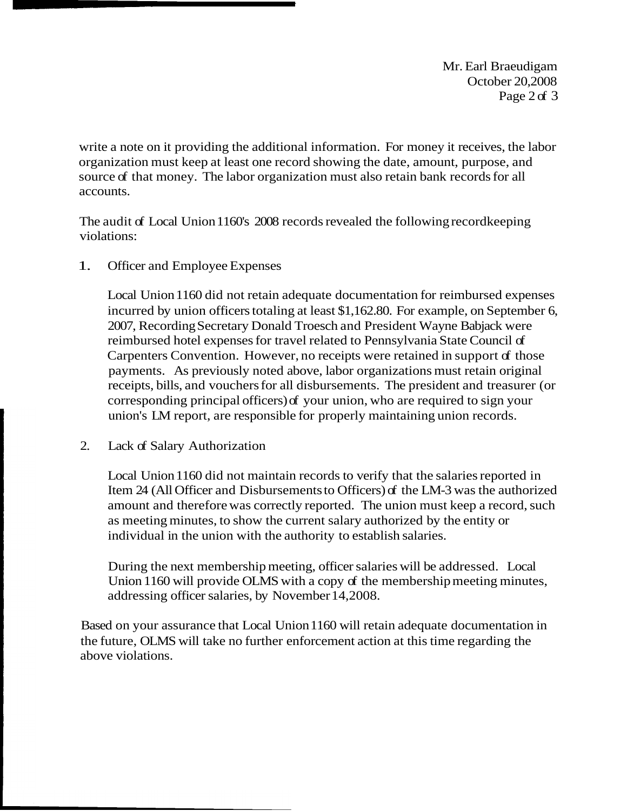Mr. Earl Braeudigam October 20,2008 Page 2 of 3

write a note on it providing the additional information. For money it receives, the labor organization must keep at least one record showing the date, amount, purpose, and source of that money. The labor organization must also retain bank records for all accounts.

The audit of Local Union 1160's 2008 records revealed the following recordkeeping violations:

1. Officer and Employee Expenses

Local Union 1160 did not retain adequate documentation for reimbursed expenses incurred by union officers totaling at least \$1,162.80. For example, on September 6, 2007, Recording Secretary Donald Troesch and President Wayne Babjack were reimbursed hotel expenses for travel related to Pennsylvania State Council of Carpenters Convention. However, no receipts were retained in support of those payments. As previously noted above, labor organizations must retain original receipts, bills, and vouchers for all disbursements. The president and treasurer (or corresponding principal officers) of your union, who are required to sign your union's LM report, are responsible for properly maintaining union records.

2. Lack of Salary Authorization

Local Union 1160 did not maintain records to verify that the salaries reported in Item 24 (All Officer and Disbursements to Officers) of the LM-3 was the authorized amount and therefore was correctly reported. The union must keep a record, such as meeting minutes, to show the current salary authorized by the entity or individual in the union with the authority to establish salaries.

During the next membership meeting, officer salaries will be addressed. Local Union 1160 will provide OLMS with a copy of the membership meeting minutes, addressing officer salaries, by November 14,2008.

Based on your assurance that Local Union 1160 will retain adequate documentation in the future, OLMS will take no further enforcement action at this time regarding the above violations.